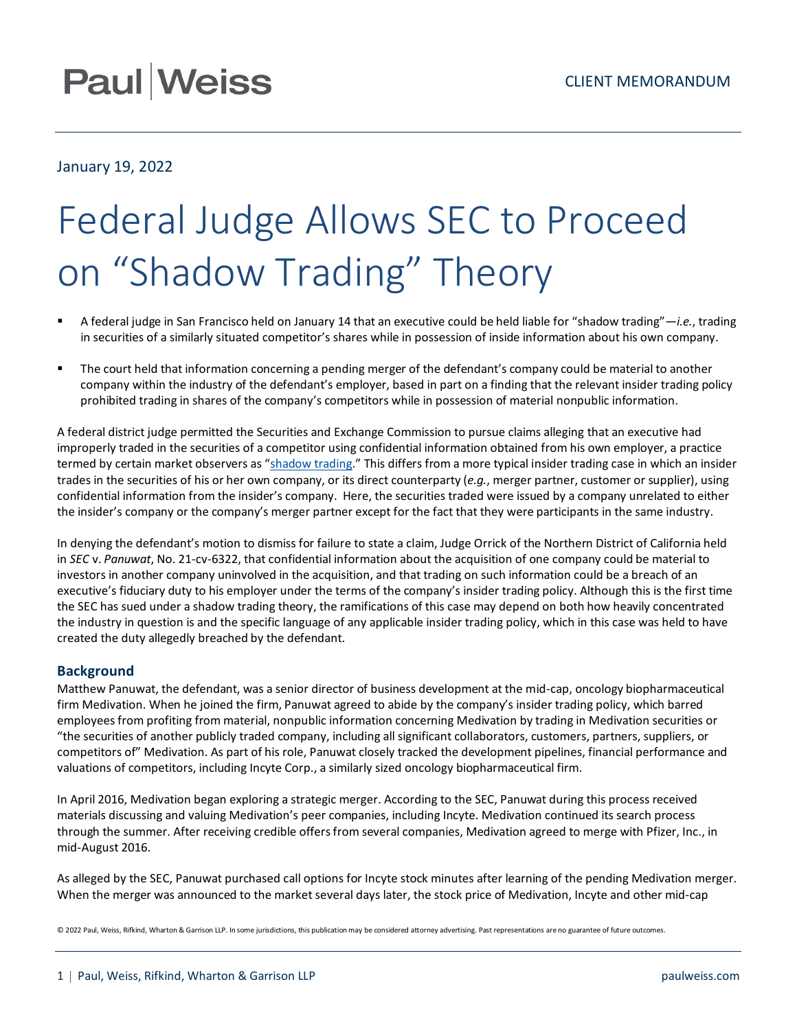## **Paul Weiss**

### January 19, 2022

# Federal Judge Allows SEC to Proceed on "Shadow Trading" Theory

- A federal judge in San Francisco held on January 14 that an executive could be held liable for "shadow trading"—*i.e.*, trading in securities of a similarly situated competitor's shares while in possession of inside information about his own company.
- The court held that information concerning a pending merger of the defendant's company could be material to another company within the industry of the defendant's employer, based in part on a finding that the relevant insider trading policy prohibited trading in shares of the company's competitors while in possession of material nonpublic information.

A federal district judge permitted the Securities and Exchange Commission to pursue claims alleging that an executive had improperly traded in the securities of a competitor using confidential information obtained from his own employer, a practice termed by certain market observers as ["shadow trading.](https://corpgov.law.harvard.edu/2020/10/08/shadow-trading/)" This differs from a more typical insider trading case in which an insider trades in the securities of his or her own company, or its direct counterparty (*e.g.*, merger partner, customer or supplier), using confidential information from the insider's company. Here, the securities traded were issued by a company unrelated to either the insider's company or the company's merger partner except for the fact that they were participants in the same industry.

In denying the defendant's motion to dismiss for failure to state a claim, Judge Orrick of the Northern District of California held in *SEC* v. *Panuwat*, No. 21-cv-6322, that confidential information about the acquisition of one company could be material to investors in another company uninvolved in the acquisition, and that trading on such information could be a breach of an executive's fiduciary duty to his employer under the terms of the company's insider trading policy. Although this is the first time the SEC has sued under a shadow trading theory, the ramifications of this case may depend on both how heavily concentrated the industry in question is and the specific language of any applicable insider trading policy, which in this case was held to have created the duty allegedly breached by the defendant.

#### **Background**

Matthew Panuwat, the defendant, was a senior director of business development at the mid-cap, oncology biopharmaceutical firm Medivation. When he joined the firm, Panuwat agreed to abide by the company's insider trading policy, which barred employees from profiting from material, nonpublic information concerning Medivation by trading in Medivation securities or "the securities of another publicly traded company, including all significant collaborators, customers, partners, suppliers, or competitors of" Medivation. As part of his role, Panuwat closely tracked the development pipelines, financial performance and valuations of competitors, including Incyte Corp., a similarly sized oncology biopharmaceutical firm.

In April 2016, Medivation began exploring a strategic merger. According to the SEC, Panuwat during this process received materials discussing and valuing Medivation's peer companies, including Incyte. Medivation continued its search process through the summer. After receiving credible offers from several companies, Medivation agreed to merge with Pfizer, Inc., in mid-August 2016.

As alleged by the SEC, Panuwat purchased call options for Incyte stock minutes after learning of the pending Medivation merger. When the merger was announced to the market several days later, the stock price of Medivation, Incyte and other mid-cap

© 2022 Paul, Weiss, Rifkind, Wharton & Garrison LLP. In some jurisdictions, this publication may be considered attorney advertising. Past representations are no guarantee of future outcomes.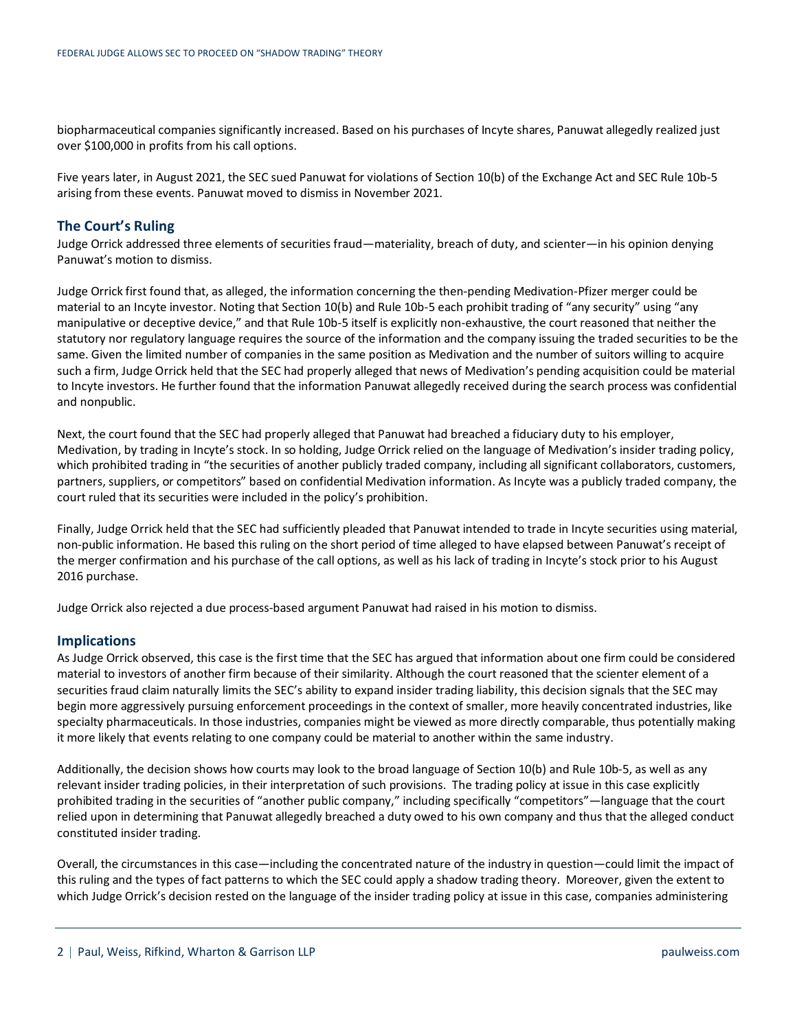biopharmaceutical companies significantly increased. Based on his purchases of Incyte shares, Panuwat allegedly realized just over \$100,000 in profits from his call options.

Five years later, in August 2021, the SEC sued Panuwat for violations of Section 10(b) of the Exchange Act and SEC Rule 10b-5 arising from these events. Panuwat moved to dismiss in November 2021.

#### **The Court's Ruling**

Judge Orrick addressed three elements of securities fraud—materiality, breach of duty, and scienter—in his opinion denying Panuwat's motion to dismiss.

Judge Orrick first found that, as alleged, the information concerning the then-pending Medivation-Pfizer merger could be material to an Incyte investor. Noting that Section 10(b) and Rule 10b-5 each prohibit trading of "any security" using "any manipulative or deceptive device," and that Rule 10b-5 itself is explicitly non-exhaustive, the court reasoned that neither the statutory nor regulatory language requires the source of the information and the company issuing the traded securities to be the same. Given the limited number of companies in the same position as Medivation and the number of suitors willing to acquire such a firm, Judge Orrick held that the SEC had properly alleged that news of Medivation's pending acquisition could be material to Incyte investors. He further found that the information Panuwat allegedly received during the search process was confidential and nonpublic.

Next, the court found that the SEC had properly alleged that Panuwat had breached a fiduciary duty to his employer, Medivation, by trading in Incyte's stock. In so holding, Judge Orrick relied on the language of Medivation's insider trading policy, which prohibited trading in "the securities of another publicly traded company, including all significant collaborators, customers, partners, suppliers, or competitors" based on confidential Medivation information. As Incyte was a publicly traded company, the court ruled that its securities were included in the policy's prohibition.

Finally, Judge Orrick held that the SEC had sufficiently pleaded that Panuwat intended to trade in Incyte securities using material, non-public information. He based this ruling on the short period of time alleged to have elapsed between Panuwat's receipt of the merger confirmation and his purchase of the call options, as well as his lack of trading in Incyte's stock prior to his August 2016 purchase.

Judge Orrick also rejected a due process-based argument Panuwat had raised in his motion to dismiss.

#### **Implications**

As Judge Orrick observed, this case is the first time that the SEC has argued that information about one firm could be considered material to investors of another firm because of their similarity. Although the court reasoned that the scienter element of a securities fraud claim naturally limits the SEC's ability to expand insider trading liability, this decision signals that the SEC may begin more aggressively pursuing enforcement proceedings in the context of smaller, more heavily concentrated industries, like specialty pharmaceuticals. In those industries, companies might be viewed as more directly comparable, thus potentially making it more likely that events relating to one company could be material to another within the same industry.

Additionally, the decision shows how courts may look to the broad language of Section 10(b) and Rule 10b-5, as well as any relevant insider trading policies, in their interpretation of such provisions. The trading policy at issue in this case explicitly prohibited trading in the securities of "another public company," including specifically "competitors"—language that the court relied upon in determining that Panuwat allegedly breached a duty owed to his own company and thus that the alleged conduct constituted insider trading.

Overall, the circumstances in this case—including the concentrated nature of the industry in question—could limit the impact of this ruling and the types of fact patterns to which the SEC could apply a shadow trading theory. Moreover, given the extent to which Judge Orrick's decision rested on the language of the insider trading policy at issue in this case, companies administering